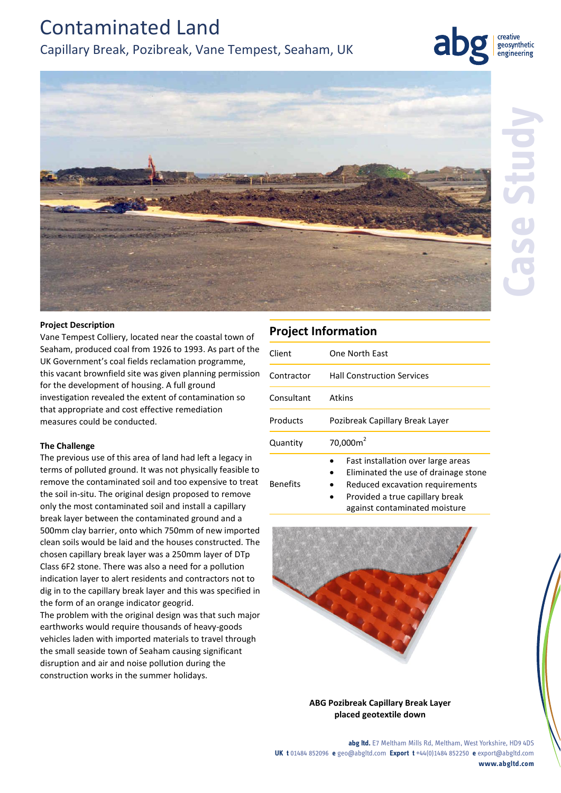# Contaminated Land

## Capillary Break, Pozibreak, Vane Tempest, Seaham, UK



creative geosynthetic engineering



### **Project Description**

Vane Tempest Colliery, located near the coastal town of Seaham, produced coal from 1926 to 1993. As part of the UK Government's coal fields reclamation programme, this vacant brownfield site was given planning permission for the development of housing. A full ground investigation revealed the extent of contamination so that appropriate and cost effective remediation measures could be conducted.

## **The Challenge**

The previous use of this area of land had left a legacy in terms of polluted ground. It was not physically feasible to remove the contaminated soil and too expensive to treat the soil in-situ. The original design proposed to remove only the most contaminated soil and install a capillary break layer between the contaminated ground and a 500mm clay barrier, onto which 750mm of new imported clean soils would be laid and the houses constructed. The chosen capillary break layer was a 250mm layer of DTp Class 6F2 stone. There was also a need for a pollution indication layer to alert residents and contractors not to dig in to the capillary break layer and this was specified in the form of an orange indicator geogrid.

The problem with the original design was that such major earthworks would require thousands of heavy-goods vehicles laden with imported materials to travel through the small seaside town of Seaham causing significant disruption and air and noise pollution during the construction works in the summer holidays.

## **Project Information**

Benefits

| Client     | One North Fast                     |
|------------|------------------------------------|
| Contractor | <b>Hall Construction Services</b>  |
| Consultant | Atkins                             |
| Products   | Pozibreak Capillary Break Layer    |
| Quantity   | $70,000m^2$                        |
|            | Fast installation over large areas |

- Eliminated the use of drainage stone
- Reduced excavation requirements
- Provided a true capillary break against contaminated moisture



**ABG Pozibreak Capillary Break Layer placed geotextile down**